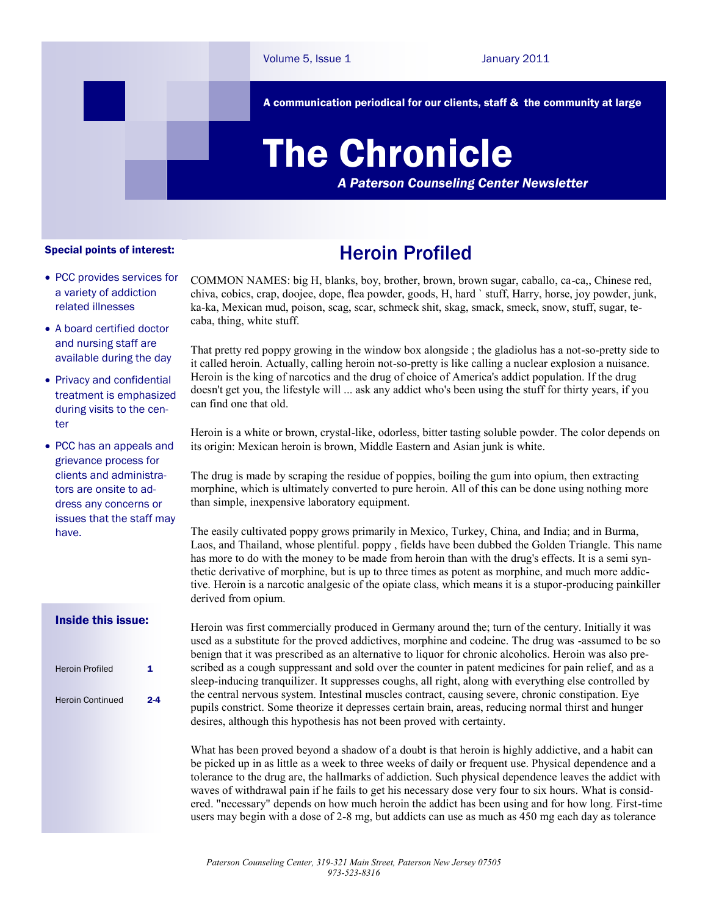A communication periodical for our clients, staff & the community at large

# The Chronicle

*A Paterson Counseling Center Newsletter*

#### Special points of interest:

- PCC provides services for a variety of addiction related illnesses
- A board certified doctor and nursing staff are available during the day
- Privacy and confidential treatment is emphasized during visits to the center
- PCC has an appeals and grievance process for clients and administrators are onsite to address any concerns or issues that the staff may have.

#### Inside this issue:

| 1       |
|---------|
| $2 - 4$ |
|         |

## Heroin Profiled

COMMON NAMES: big H, blanks, boy, brother, brown, brown sugar, caballo, ca-ca,, Chinese red, chiva, cobics, crap, doojee, dope, flea powder, goods, H, hard ` stuff, Harry, horse, joy powder, junk, ka-ka, Mexican mud, poison, scag, scar, schmeck shit, skag, smack, smeck, snow, stuff, sugar, tecaba, thing, white stuff.

That pretty red poppy growing in the window box alongside ; the gladiolus has a not-so-pretty side to it called heroin. Actually, calling heroin not-so-pretty is like calling a nuclear explosion a nuisance. Heroin is the king of narcotics and the drug of choice of America's addict population. If the drug doesn't get you, the lifestyle will ... ask any addict who's been using the stuff for thirty years, if you can find one that old.

Heroin is a white or brown, crystal-like, odorless, bitter tasting soluble powder. The color depends on its origin: Mexican heroin is brown, Middle Eastern and Asian junk is white.

The drug is made by scraping the residue of poppies, boiling the gum into opium, then extracting morphine, which is ultimately converted to pure heroin. All of this can be done using nothing more than simple, inexpensive laboratory equipment.

The easily cultivated poppy grows primarily in Mexico, Turkey, China, and India; and in Burma, Laos, and Thailand, whose plentiful. poppy , fields have been dubbed the Golden Triangle. This name has more to do with the money to be made from heroin than with the drug's effects. It is a semi synthetic derivative of morphine, but is up to three times as potent as morphine, and much more addictive. Heroin is a narcotic analgesic of the opiate class, which means it is a stupor-producing painkiller derived from opium.

Heroin was first commercially produced in Germany around the; turn of the century. Initially it was used as a substitute for the proved addictives, morphine and codeine. The drug was -assumed to be so benign that it was prescribed as an alternative to liquor for chronic alcoholics. Heroin was also prescribed as a cough suppressant and sold over the counter in patent medicines for pain relief, and as a sleep-inducing tranquilizer. It suppresses coughs, all right, along with everything else controlled by the central nervous system. Intestinal muscles contract, causing severe, chronic constipation. Eye pupils constrict. Some theorize it depresses certain brain, areas, reducing normal thirst and hunger desires, although this hypothesis has not been proved with certainty.

What has been proved beyond a shadow of a doubt is that heroin is highly addictive, and a habit can be picked up in as little as a week to three weeks of daily or frequent use. Physical dependence and a tolerance to the drug are, the hallmarks of addiction. Such physical dependence leaves the addict with waves of withdrawal pain if he fails to get his necessary dose very four to six hours. What is considered. "necessary" depends on how much heroin the addict has been using and for how long. First-time users may begin with a dose of 2-8 mg, but addicts can use as much as 450 mg each day as tolerance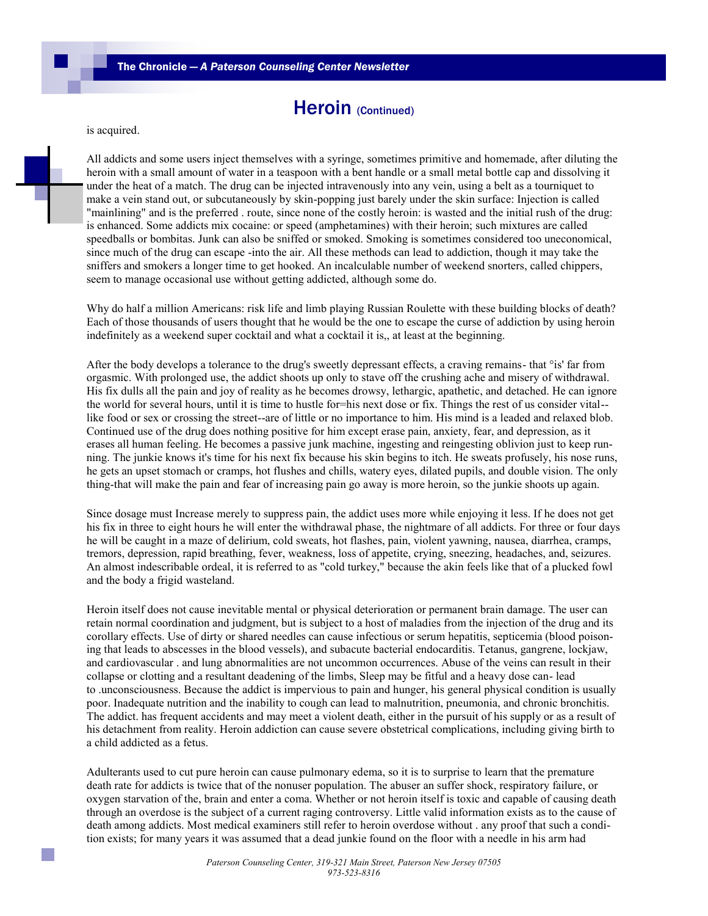### Heroin (Continued)

is acquired.

All addicts and some users inject themselves with a syringe, sometimes primitive and homemade, after diluting the heroin with a small amount of water in a teaspoon with a bent handle or a small metal bottle cap and dissolving it under the heat of a match. The drug can be injected intravenously into any vein, using a belt as a tourniquet to make a vein stand out, or subcutaneously by skin-popping just barely under the skin surface: Injection is called "mainlining" and is the preferred . route, since none of the costly heroin: is wasted and the initial rush of the drug: is enhanced. Some addicts mix cocaine: or speed (amphetamines) with their heroin; such mixtures are called speedballs or bombitas. Junk can also be sniffed or smoked. Smoking is sometimes considered too uneconomical, since much of the drug can escape -into the air. All these methods can lead to addiction, though it may take the sniffers and smokers a longer time to get hooked. An incalculable number of weekend snorters, called chippers, seem to manage occasional use without getting addicted, although some do.

Why do half a million Americans: risk life and limb playing Russian Roulette with these building blocks of death? Each of those thousands of users thought that he would be the one to escape the curse of addiction by using heroin indefinitely as a weekend super cocktail and what a cocktail it is,, at least at the beginning.

After the body develops a tolerance to the drug's sweetly depressant effects, a craving remains- that °is' far from orgasmic. With prolonged use, the addict shoots up only to stave off the crushing ache and misery of withdrawal. His fix dulls all the pain and joy of reality as he becomes drowsy, lethargic, apathetic, and detached. He can ignore the world for several hours, until it is time to hustle for=his next dose or fix. Things the rest of us consider vital- like food or sex or crossing the street--are of little or no importance to him. His mind is a leaded and relaxed blob. Continued use of the drug does nothing positive for him except erase pain, anxiety, fear, and depression, as it erases all human feeling. He becomes a passive junk machine, ingesting and reingesting oblivion just to keep running. The junkie knows it's time for his next fix because his skin begins to itch. He sweats profusely, his nose runs, he gets an upset stomach or cramps, hot flushes and chills, watery eyes, dilated pupils, and double vision. The only thing-that will make the pain and fear of increasing pain go away is more heroin, so the junkie shoots up again.

Since dosage must Increase merely to suppress pain, the addict uses more while enjoying it less. If he does not get his fix in three to eight hours he will enter the withdrawal phase, the nightmare of all addicts. For three or four days he will be caught in a maze of delirium, cold sweats, hot flashes, pain, violent yawning, nausea, diarrhea, cramps, tremors, depression, rapid breathing, fever, weakness, loss of appetite, crying, sneezing, headaches, and, seizures. An almost indescribable ordeal, it is referred to as "cold turkey," because the akin feels like that of a plucked fowl and the body a frigid wasteland.

Heroin itself does not cause inevitable mental or physical deterioration or permanent brain damage. The user can retain normal coordination and judgment, but is subject to a host of maladies from the injection of the drug and its corollary effects. Use of dirty or shared needles can cause infectious or serum hepatitis, septicemia (blood poisoning that leads to abscesses in the blood vessels), and subacute bacterial endocarditis. Tetanus, gangrene, lockjaw, and cardiovascular . and lung abnormalities are not uncommon occurrences. Abuse of the veins can result in their collapse or clotting and a resultant deadening of the limbs, Sleep may be fitful and a heavy dose can- lead to .unconsciousness. Because the addict is impervious to pain and hunger, his general physical condition is usually poor. Inadequate nutrition and the inability to cough can lead to malnutrition, pneumonia, and chronic bronchitis. The addict. has frequent accidents and may meet a violent death, either in the pursuit of his supply or as a result of his detachment from reality. Heroin addiction can cause severe obstetrical complications, including giving birth to a child addicted as a fetus.

Adulterants used to cut pure heroin can cause pulmonary edema, so it is to surprise to learn that the premature death rate for addicts is twice that of the nonuser population. The abuser an suffer shock, respiratory failure, or oxygen starvation of the, brain and enter a coma. Whether or not heroin itself is toxic and capable of causing death through an overdose is the subject of a current raging controversy. Little valid information exists as to the cause of death among addicts. Most medical examiners still refer to heroin overdose without . any proof that such a condition exists; for many years it was assumed that a dead junkie found on the floor with a needle in his arm had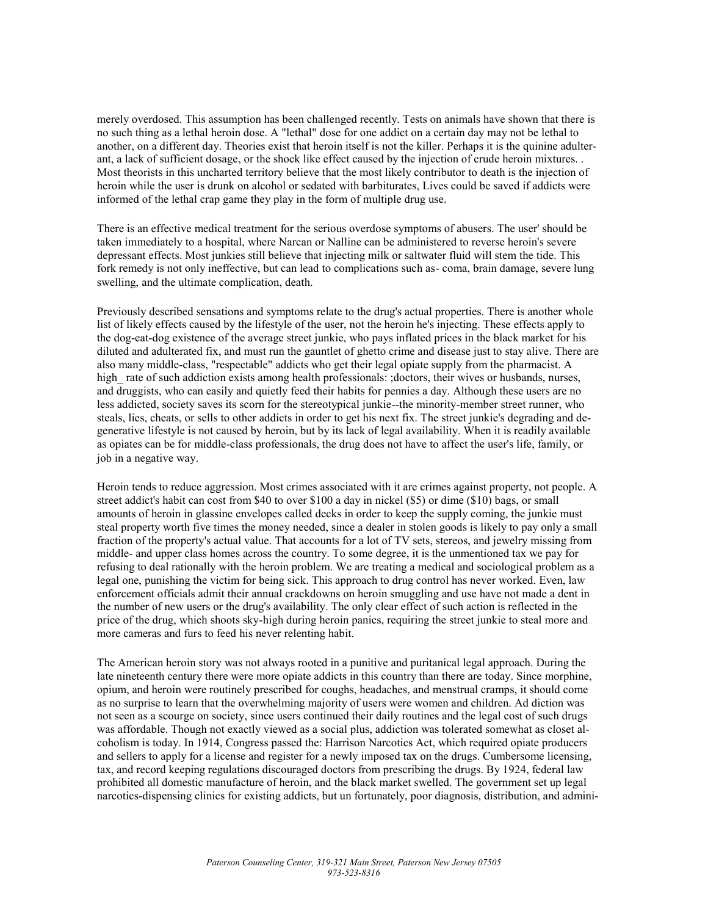merely overdosed. This assumption has been challenged recently. Tests on animals have shown that there is no such thing as a lethal heroin dose. A "lethal" dose for one addict on a certain day may not be lethal to another, on a different day. Theories exist that heroin itself is not the killer. Perhaps it is the quinine adulterant, a lack of sufficient dosage, or the shock like effect caused by the injection of crude heroin mixtures. . Most theorists in this uncharted territory believe that the most likely contributor to death is the injection of heroin while the user is drunk on alcohol or sedated with barbiturates, Lives could be saved if addicts were informed of the lethal crap game they play in the form of multiple drug use.

There is an effective medical treatment for the serious overdose symptoms of abusers. The user' should be taken immediately to a hospital, where Narcan or Nalline can be administered to reverse heroin's severe depressant effects. Most junkies still believe that injecting milk or saltwater fluid will stem the tide. This fork remedy is not only ineffective, but can lead to complications such as- coma, brain damage, severe lung swelling, and the ultimate complication, death.

Previously described sensations and symptoms relate to the drug's actual properties. There is another whole list of likely effects caused by the lifestyle of the user, not the heroin he's injecting. These effects apply to the dog-eat-dog existence of the average street junkie, who pays inflated prices in the black market for his diluted and adulterated fix, and must run the gauntlet of ghetto crime and disease just to stay alive. There are also many middle-class, "respectable" addicts who get their legal opiate supply from the pharmacist. A high rate of such addiction exists among health professionals: ;doctors, their wives or husbands, nurses, and druggists, who can easily and quietly feed their habits for pennies a day. Although these users are no less addicted, society saves its scorn for the stereotypical junkie--the minority-member street runner, who steals, lies, cheats, or sells to other addicts in order to get his next fix. The street junkie's degrading and degenerative lifestyle is not caused by heroin, but by its lack of legal availability. When it is readily available as opiates can be for middle-class professionals, the drug does not have to affect the user's life, family, or job in a negative way.

Heroin tends to reduce aggression. Most crimes associated with it are crimes against property, not people. A street addict's habit can cost from \$40 to over \$100 a day in nickel (\$5) or dime (\$10) bags, or small amounts of heroin in glassine envelopes called decks in order to keep the supply coming, the junkie must steal property worth five times the money needed, since a dealer in stolen goods is likely to pay only a small fraction of the property's actual value. That accounts for a lot of TV sets, stereos, and jewelry missing from middle- and upper class homes across the country. To some degree, it is the unmentioned tax we pay for refusing to deal rationally with the heroin problem. We are treating a medical and sociological problem as a legal one, punishing the victim for being sick. This approach to drug control has never worked. Even, law enforcement officials admit their annual crackdowns on heroin smuggling and use have not made a dent in the number of new users or the drug's availability. The only clear effect of such action is reflected in the price of the drug, which shoots sky-high during heroin panics, requiring the street junkie to steal more and more cameras and furs to feed his never relenting habit.

The American heroin story was not always rooted in a punitive and puritanical legal approach. During the late nineteenth century there were more opiate addicts in this country than there are today. Since morphine, opium, and heroin were routinely prescribed for coughs, headaches, and menstrual cramps, it should come as no surprise to learn that the overwhelming majority of users were women and children. Ad diction was not seen as a scourge on society, since users continued their daily routines and the legal cost of such drugs was affordable. Though not exactly viewed as a social plus, addiction was tolerated somewhat as closet alcoholism is today. In 1914, Congress passed the: Harrison Narcotics Act, which required opiate producers and sellers to apply for a license and register for a newly imposed tax on the drugs. Cumbersome licensing, tax, and record keeping regulations discouraged doctors from prescribing the drugs. By 1924, federal law prohibited all domestic manufacture of heroin, and the black market swelled. The government set up legal narcotics-dispensing clinics for existing addicts, but un fortunately, poor diagnosis, distribution, and admini